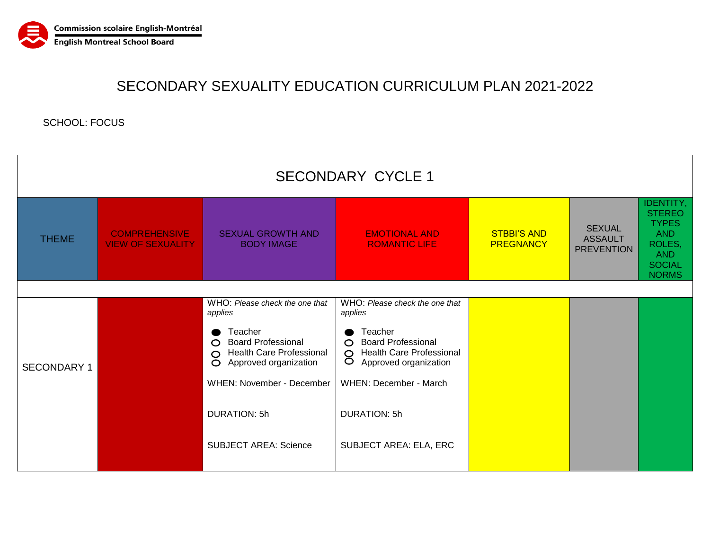

## SECONDARY SEXUALITY EDUCATION CURRICULUM PLAN 2021-2022

SCHOOL: FOCUS

| <b>SECONDARY CYCLE 1</b> |                                                  |                                                                                                                 |                                                                                                                   |                                        |                                                      |                                                                                                                          |  |  |  |
|--------------------------|--------------------------------------------------|-----------------------------------------------------------------------------------------------------------------|-------------------------------------------------------------------------------------------------------------------|----------------------------------------|------------------------------------------------------|--------------------------------------------------------------------------------------------------------------------------|--|--|--|
| <b>THEME</b>             | <b>COMPREHENSIVE</b><br><b>VIEW OF SEXUALITY</b> | <b>SEXUAL GROWTH AND</b><br><b>BODY IMAGE</b>                                                                   | <b>EMOTIONAL AND</b><br><b>ROMANTIC LIFE</b>                                                                      | <b>STBBI'S AND</b><br><b>PREGNANCY</b> | <b>SEXUAL</b><br><b>ASSAULT</b><br><b>PREVENTION</b> | <b>IDENTITY,</b><br><b>STEREO</b><br><b>TYPES</b><br><b>AND</b><br>ROLES,<br><b>AND</b><br><b>SOCIAL</b><br><b>NORMS</b> |  |  |  |
|                          |                                                  |                                                                                                                 |                                                                                                                   |                                        |                                                      |                                                                                                                          |  |  |  |
| <b>SECONDARY 1</b>       |                                                  | WHO: Please check the one that<br>applies                                                                       | WHO: Please check the one that<br>applies                                                                         |                                        |                                                      |                                                                                                                          |  |  |  |
|                          |                                                  | Teacher<br><b>Board Professional</b><br>$\circ$<br><b>O</b> Health Care Professional<br>O Approved organization | Teacher<br><b>Board Professional</b><br>$\Omega$<br><b>Health Care Professional</b><br>8<br>Approved organization |                                        |                                                      |                                                                                                                          |  |  |  |
|                          |                                                  | <b>WHEN: November - December</b>                                                                                | WHEN: December - March                                                                                            |                                        |                                                      |                                                                                                                          |  |  |  |
|                          |                                                  | <b>DURATION: 5h</b>                                                                                             | <b>DURATION: 5h</b>                                                                                               |                                        |                                                      |                                                                                                                          |  |  |  |
|                          |                                                  | <b>SUBJECT AREA: Science</b>                                                                                    | SUBJECT AREA: ELA, ERC                                                                                            |                                        |                                                      |                                                                                                                          |  |  |  |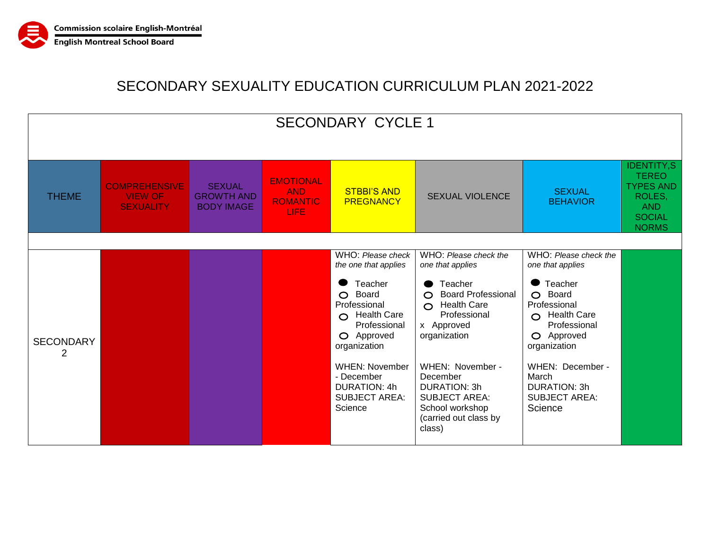

## SECONDARY SEXUALITY EDUCATION CURRICULUM PLAN 2021-2022

| <b>SECONDARY CYCLE 1</b> |                                                            |                                                         |                                                                  |                                                                                                                                                                                                                                                          |                                                                                                                                                                                                                                                                                                                |                                                                                                                                                                                                                                               |                                                                                                         |
|--------------------------|------------------------------------------------------------|---------------------------------------------------------|------------------------------------------------------------------|----------------------------------------------------------------------------------------------------------------------------------------------------------------------------------------------------------------------------------------------------------|----------------------------------------------------------------------------------------------------------------------------------------------------------------------------------------------------------------------------------------------------------------------------------------------------------------|-----------------------------------------------------------------------------------------------------------------------------------------------------------------------------------------------------------------------------------------------|---------------------------------------------------------------------------------------------------------|
| <b>THEME</b>             | <b>COMPREHENSIVE</b><br><b>VIEW OF</b><br><b>SEXUALITY</b> | <b>SEXUAL</b><br><b>GROWTH AND</b><br><b>BODY IMAGE</b> | <b>EMOTIONAL</b><br><b>AND</b><br><b>ROMANTIC</b><br><b>LIFE</b> | <b>STBBI'S AND</b><br><b>PREGNANCY</b>                                                                                                                                                                                                                   | <b>SEXUAL VIOLENCE</b>                                                                                                                                                                                                                                                                                         | <b>SEXUAL</b><br><b>BEHAVIOR</b>                                                                                                                                                                                                              | <b>IDENTITY,S</b><br><b>TEREO</b><br><b>TYPES AND</b><br>ROLES,<br>AND<br><b>SOCIAL</b><br><b>NORMS</b> |
| <b>SECONDARY</b><br>2    |                                                            |                                                         |                                                                  | WHO: Please check<br>the one that applies<br>Teacher<br>$\circ$<br>Board<br>Professional<br>$\Omega$ Health Care<br>Professional<br>O Approved<br>organization<br><b>WHEN: November</b><br>- December<br>DURATION: 4h<br><b>SUBJECT AREA:</b><br>Science | WHO: Please check the<br>one that applies<br>Teacher<br>$\bullet$<br><b>Board Professional</b><br>$\Omega$<br>$\Omega$ Health Care<br>Professional<br>x Approved<br>organization<br>WHEN: November -<br>December<br>DURATION: 3h<br><b>SUBJECT AREA:</b><br>School workshop<br>(carried out class by<br>class) | WHO: Please check the<br>one that applies<br>Teacher<br>O Board<br>Professional<br>$\bigcap$ Health Care<br>Professional<br>O Approved<br>organization<br>WHEN: December -<br>March<br><b>DURATION: 3h</b><br><b>SUBJECT AREA:</b><br>Science |                                                                                                         |